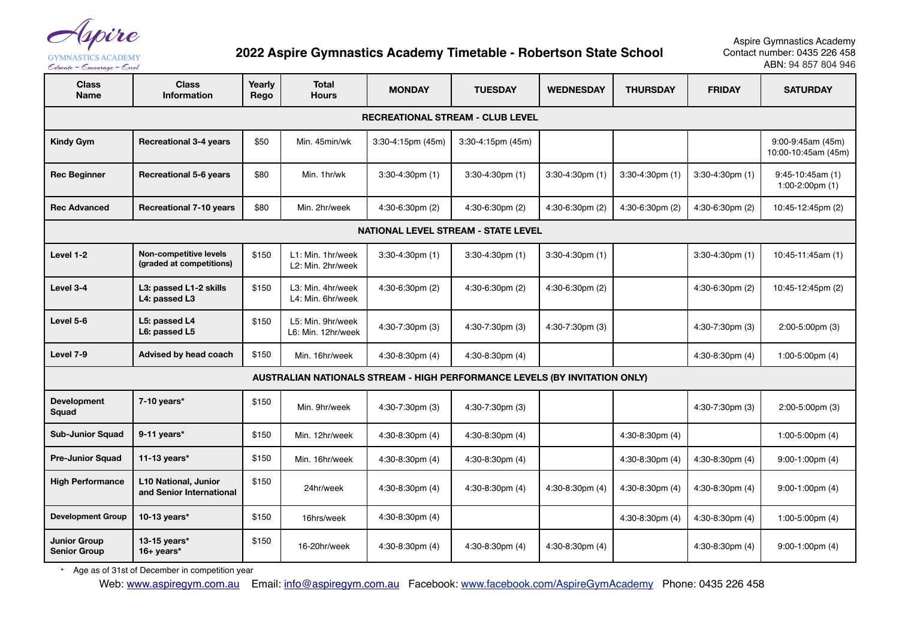Ipire

**GYMNASTICS ACADEMY** Educate ~ Encourage ~ Excel

## **2022 Aspire Gymnastics Academy Timetable - Robertson State School**

Aspire Gymnastics Academy Contact number: 0435 226 458 ABN: 94 857 804 946

| <b>Class</b><br><b>Name</b>                                                | <b>Class</b><br><b>Information</b>                        | Yearly<br>Rego | <b>Total</b><br><b>Hours</b>            | <b>MONDAY</b>               | <b>TUESDAY</b>         | <b>WEDNESDAY</b>            | <b>THURSDAY</b>        | <b>FRIDAY</b>               | <b>SATURDAY</b>                          |
|----------------------------------------------------------------------------|-----------------------------------------------------------|----------------|-----------------------------------------|-----------------------------|------------------------|-----------------------------|------------------------|-----------------------------|------------------------------------------|
| <b>RECREATIONAL STREAM - CLUB LEVEL</b>                                    |                                                           |                |                                         |                             |                        |                             |                        |                             |                                          |
| <b>Kindy Gym</b>                                                           | <b>Recreational 3-4 years</b>                             | \$50           | Min. 45min/wk                           | $3:30 - 4:15$ pm (45m)      | $3:30 - 4:15$ pm (45m) |                             |                        |                             | 9:00-9:45am (45m)<br>10:00-10:45am (45m) |
| <b>Rec Beginner</b>                                                        | <b>Recreational 5-6 years</b>                             | \$80           | Min. 1hr/wk                             | $3:30-4:30$ pm $(1)$        | $3:30-4:30$ pm $(1)$   | $3:30 - 4:30$ pm $(1)$      | $3:30 - 4:30$ pm $(1)$ | $3:30-4:30$ pm $(1)$        | $9:45-10:45am(1)$<br>1:00-2:00pm $(1)$   |
| <b>Rec Advanced</b>                                                        | <b>Recreational 7-10 years</b>                            | \$80           | Min. 2hr/week                           | 4:30-6:30pm (2)             | 4:30-6:30pm (2)        | 4:30-6:30pm (2)             | 4:30-6:30pm (2)        | 4:30-6:30pm (2)             | 10:45-12:45pm (2)                        |
| <b>NATIONAL LEVEL STREAM - STATE LEVEL</b>                                 |                                                           |                |                                         |                             |                        |                             |                        |                             |                                          |
| Level 1-2                                                                  | <b>Non-competitive levels</b><br>(graded at competitions) | \$150          | L1: Min. 1hr/week<br>L2: Min. 2hr/week  | $3:30 - 4:30 \text{pm}$ (1) | $3:30-4:30$ pm $(1)$   | $3:30-4:30$ pm $(1)$        |                        | $3:30-4:30$ pm $(1)$        | 10:45-11:45am (1)                        |
| Level 3-4                                                                  | L3: passed L1-2 skills<br>L4: passed L3                   | \$150          | L3: Min. 4hr/week<br>L4: Min. 6hr/week  | 4:30-6:30pm (2)             | $4:30-6:30$ pm $(2)$   | 4:30-6:30pm (2)             |                        | $4:30-6:30 \text{pm}$ (2)   | 10:45-12:45pm (2)                        |
| Level 5-6                                                                  | L5: passed L4<br>L6: passed L5                            | \$150          | L5: Min. 9hr/week<br>L6: Min. 12hr/week | 4:30-7:30pm (3)             | 4:30-7:30pm (3)        | $4:30 - 7:30 \text{pm}$ (3) |                        | $4:30 - 7:30 \text{pm}$ (3) | $2:00 - 5:00 \text{pm}$ (3)              |
| Level 7-9                                                                  | Advised by head coach                                     | \$150          | Min. 16hr/week                          | $4:30-8:30$ pm $(4)$        | $4:30-8:30$ pm $(4)$   |                             |                        | $4:30-8:30 \text{pm}$ (4)   | 1:00-5:00pm $(4)$                        |
| AUSTRALIAN NATIONALS STREAM - HIGH PERFORMANCE LEVELS (BY INVITATION ONLY) |                                                           |                |                                         |                             |                        |                             |                        |                             |                                          |
| <b>Development</b><br>Squad                                                | 7-10 years*                                               | \$150          | Min. 9hr/week                           | 4:30-7:30pm (3)             | 4:30-7:30pm (3)        |                             |                        | 4:30-7:30pm (3)             | $2:00-5:00 \text{pm}$ (3)                |
| <b>Sub-Junior Squad</b>                                                    | $9-11$ years*                                             | \$150          | Min. 12hr/week                          | $4:30-8:30$ pm $(4)$        | $4:30-8:30$ pm $(4)$   |                             | $4:30-8:30$ pm $(4)$   |                             | 1:00-5:00pm $(4)$                        |
| <b>Pre-Junior Squad</b>                                                    | 11-13 years $*$                                           | \$150          | Min. 16hr/week                          | $4:30-8:30$ pm $(4)$        | $4:30-8:30$ pm $(4)$   |                             | 4:30-8:30pm $(4)$      | $4:30-8:30$ pm $(4)$        | $9:00 - 1:00 \text{pm}$ (4)              |
| <b>High Performance</b>                                                    | <b>L10 National, Junior</b><br>and Senior International   | \$150          | 24hr/week                               | $4:30-8:30$ pm $(4)$        | $4:30-8:30$ pm $(4)$   | 4:30-8:30pm (4)             | $4:30-8:30$ pm $(4)$   | $4:30-8:30 \text{pm}$ (4)   | $9:00 - 1:00 \text{pm}$ (4)              |
| <b>Development Group</b>                                                   | 10-13 years*                                              | \$150          | 16hrs/week                              | 4:30-8:30pm (4)             |                        |                             | 4:30-8:30pm (4)        | $4:30-8:30 \text{pm}$ (4)   | 1:00-5:00pm $(4)$                        |
| <b>Junior Group</b><br><b>Senior Group</b>                                 | 13-15 years*<br>$16+ years*$                              | \$150          | 16-20hr/week                            | $4:30-8:30$ pm $(4)$        | $4:30-8:30$ pm $(4)$   | $4:30-8:30$ pm $(4)$        |                        | $4:30-8:30 \text{pm}$ (4)   | $9:00 - 1:00 \text{pm}$ (4)              |

\* Age as of 31st of December in competition year

Web: [www.aspiregym.com.au](http://www.aspiregym.com.au) Email: [info@aspiregym.com.au](mailto:info@aspiregym.com.au?subject=) Facebook: [www.facebook.com/AspireGymAcademy](http://www.facebook.com/AspireGymAcadem) Phone: 0435 226 458